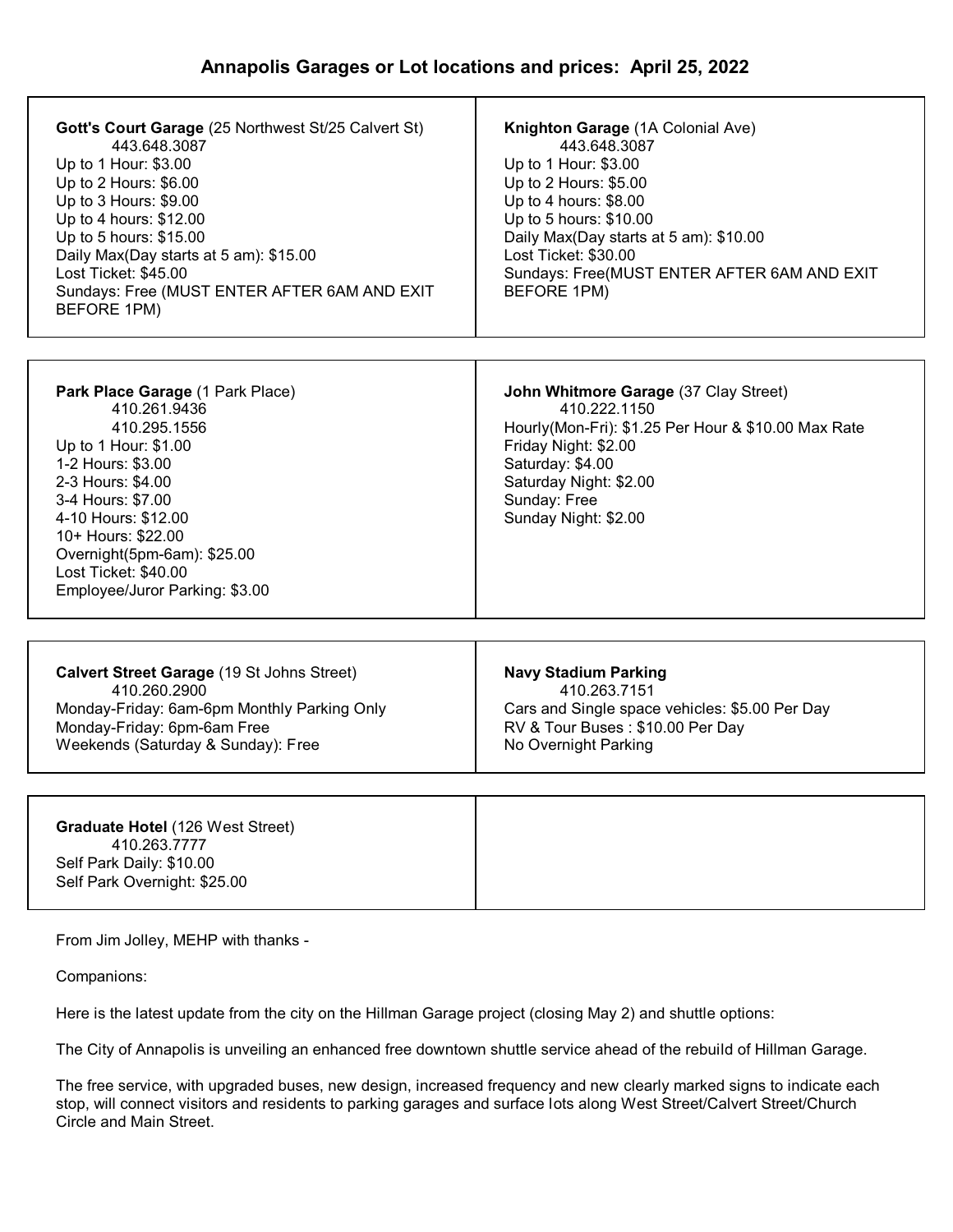| Gott's Court Garage (25 Northwest St/25 Calvert St)<br>443.648.3087<br>Up to 1 Hour: \$3.00<br>Up to 2 Hours: \$6.00<br>Up to 3 Hours: \$9.00<br>Up to 4 hours: \$12.00<br>Up to 5 hours: \$15.00<br>Daily Max(Day starts at 5 am): \$15.00<br>Lost Ticket: \$45.00<br>Sundays: Free (MUST ENTER AFTER 6AM AND EXIT<br>BEFORE 1PM) | Knighton Garage (1A Colonial Ave)<br>443.648.3087<br>Up to 1 Hour: \$3.00<br>Up to 2 Hours: \$5.00<br>Up to 4 hours: \$8.00<br>Up to 5 hours: \$10.00<br>Daily Max(Day starts at 5 am): \$10.00<br>Lost Ticket: \$30.00<br>Sundays: Free(MUST ENTER AFTER 6AM AND EXIT<br>BEFORE 1PM) |
|------------------------------------------------------------------------------------------------------------------------------------------------------------------------------------------------------------------------------------------------------------------------------------------------------------------------------------|---------------------------------------------------------------------------------------------------------------------------------------------------------------------------------------------------------------------------------------------------------------------------------------|
|                                                                                                                                                                                                                                                                                                                                    |                                                                                                                                                                                                                                                                                       |
| Park Place Garage (1 Park Place)<br>410.261.9436<br>410.295.1556<br>Up to 1 Hour: \$1.00<br>1-2 Hours: \$3.00<br>2-3 Hours: \$4.00<br>3-4 Hours: \$7.00<br>4-10 Hours: \$12.00<br>10+ Hours: \$22.00<br>Overnight(5pm-6am): \$25.00<br>Lost Ticket: \$40.00<br>Employee/Juror Parking: \$3.00                                      | John Whitmore Garage (37 Clay Street)<br>410.222.1150<br>Hourly(Mon-Fri): \$1.25 Per Hour & \$10.00 Max Rate<br>Friday Night: \$2.00<br>Saturday: \$4.00<br>Saturday Night: \$2.00<br>Sunday: Free<br>Sunday Night: \$2.00                                                            |
|                                                                                                                                                                                                                                                                                                                                    |                                                                                                                                                                                                                                                                                       |
| Calvert Street Garage (19 St Johns Street)<br>410.260.2900<br>Monday-Friday: 6am-6pm Monthly Parking Only<br>Monday-Friday: 6pm-6am Free<br>Weekends (Saturday & Sunday): Free                                                                                                                                                     | <b>Navy Stadium Parking</b><br>410.263.7151<br>Cars and Single space vehicles: \$5.00 Per Day<br>RV & Tour Buses: \$10.00 Per Day<br>No Overnight Parking                                                                                                                             |
|                                                                                                                                                                                                                                                                                                                                    |                                                                                                                                                                                                                                                                                       |
| Graduate Hotel (126 West Street)<br>410.263.7777<br>Self Park Daily: \$10.00<br>Self Park Overnight: \$25.00                                                                                                                                                                                                                       |                                                                                                                                                                                                                                                                                       |

From Jim Jolley, MEHP with thanks -

Companions:

Here is the latest update from the city on the Hillman Garage project (closing May 2) and shuttle options:

The City of Annapolis is unveiling an enhanced free downtown shuttle service ahead of the rebuild of Hillman Garage.

The free service, with upgraded buses, new design, increased frequency and new clearly marked signs to indicate each stop, will connect visitors and residents to parking garages and surface lots along West Street/Calvert Street/Church Circle and Main Street.